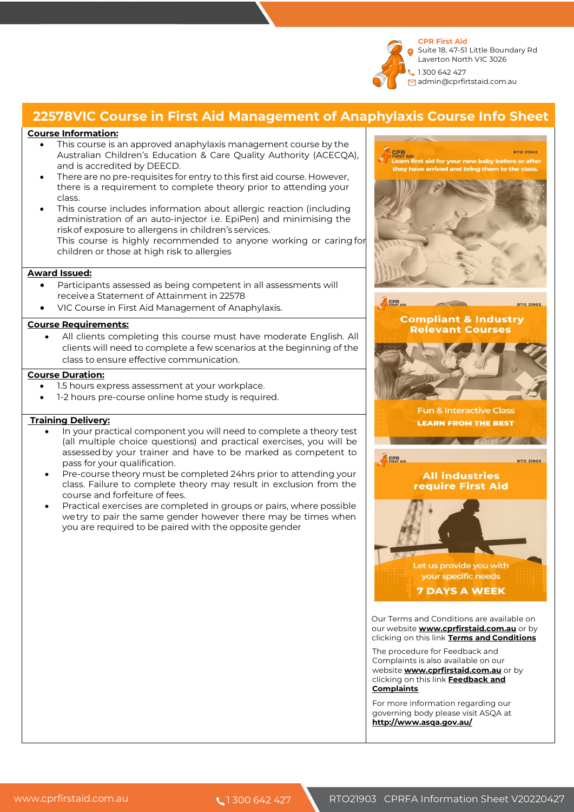

## **22578VIC Course in First Aid Management of Anaphylaxis Course Info Sheet**

### **Course Information:**

- This course is an approved anaphylaxis management course by the Australian Children's Education & Care Quality Authority (ACECQA), and is accredited by DEECD.
- There are no pre-requisites for entry to this first aid course. However, there is a requirement to complete theory prior to attending your class.
- This course includes information about allergic reaction (including administration of an auto-injector i.e. EpiPen) and minimising the riskof exposure to allergens in children's services. This course is highly recommended to anyone working or caring for children or those at high risk to allergies

#### **Award Issued:**

- Participants assessed as being competent in all assessments will receivea Statement of Attainment in 22578
- VIC Course in First Aid Management of Anaphylaxis.

### **Course Requirements:**

All clients completing this course must have moderate English. All clients will need to complete a few scenarios at the beginning of the class to ensure effective communication.

## **Course Duration:**

- 1.5 hours express assessment at your workplace.
- 1-2 hours pre-course online home study is required.

### **Training Delivery:**

- In your practical component you will need to complete a theory test (all multiple choice questions) and practical exercises, you will be assessedby your trainer and have to be marked as competent to pass for your qualification.
- Pre-course theory must be completed 24hrs prior to attending your class. Failure to complete theory may result in exclusion from the course and forfeiture of fees.
- Practical exercises are completed in groups or pairs, where possible wetry to pair the same gender however there may be times when you are required to be paired with the opposite gender.



For more information regarding our governing body please visit ASQA at **http://www.asqa.gov.au/**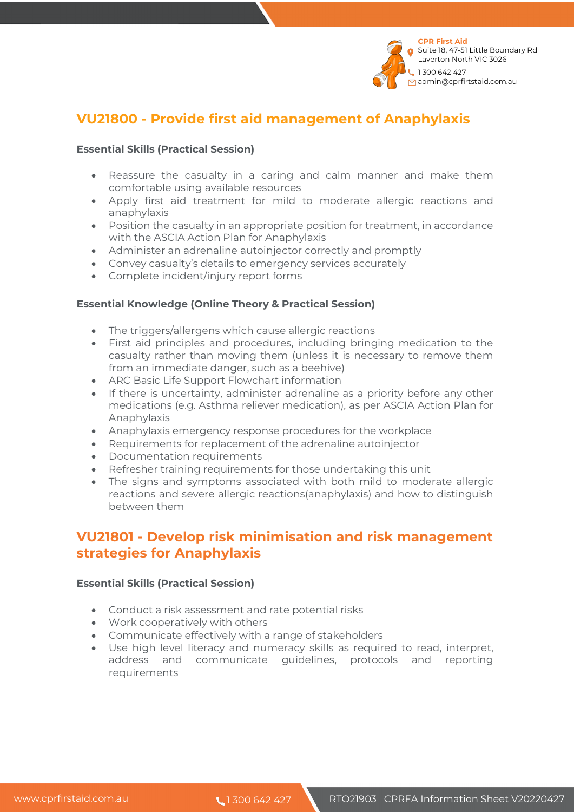

# **VU21800 - Provide first aid management of Anaphylaxis**

## **Essential Skills (Practical Session)**

- Reassure the casualty in a caring and calm manner and make them comfortable using available resources
- Apply first aid treatment for mild to moderate allergic reactions and anaphylaxis
- Position the casualty in an appropriate position for treatment, in accordance with the ASCIA Action Plan for Anaphylaxis
- Administer an adrenaline autoinjector correctly and promptly
- Convey casualty's details to emergency services accurately
- Complete incident/injury report forms

## **Essential Knowledge (Online Theory & Practical Session)**

- The triggers/allergens which cause allergic reactions
- First aid principles and procedures, including bringing medication to the casualty rather than moving them (unless it is necessary to remove them from an immediate danger, such as a beehive)
- ARC Basic Life Support Flowchart information
- If there is uncertainty, administer adrenaline as a priority before any other medications (e.g. Asthma reliever medication), as per ASCIA Action Plan for Anaphylaxis
- Anaphylaxis emergency response procedures for the workplace
- Requirements for replacement of the adrenaline autoinjector
- Documentation requirements
- Refresher training requirements for those undertaking this unit
- The signs and symptoms associated with both mild to moderate allergic reactions and severe allergic reactions(anaphylaxis) and how to distinguish between them

# **VU21801 - Develop risk minimisation and risk management strategies for Anaphylaxis**

## **Essential Skills (Practical Session)**

- Conduct a risk assessment and rate potential risks
- Work cooperatively with others
- Communicate effectively with a range of stakeholders
- Use high level literacy and numeracy skills as required to read, interpret, address and communicate guidelines, protocols and reporting requirements